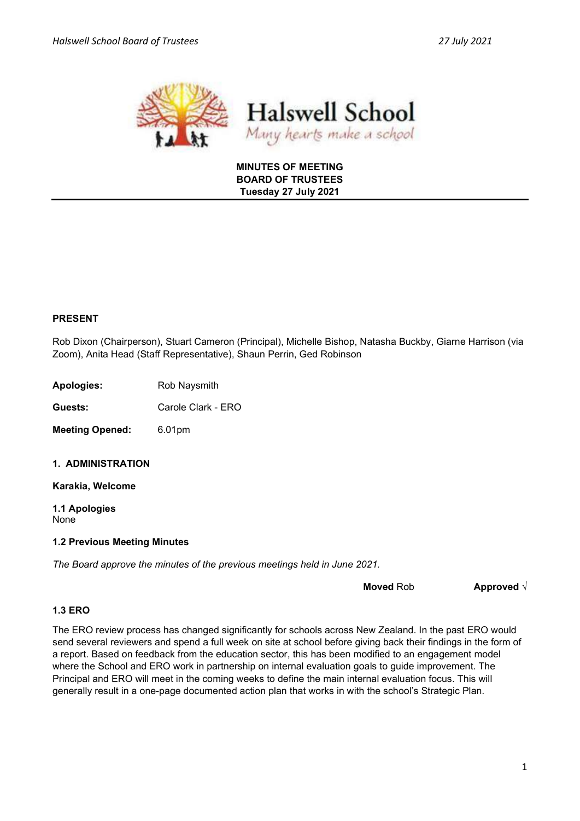



## MINUTES OF MEETING BOARD OF TRUSTEES Tuesday 27 July 2021

# PRESENT

Rob Dixon (Chairperson), Stuart Cameron (Principal), Michelle Bishop, Natasha Buckby, Giarne Harrison (via Zoom), Anita Head (Staff Representative), Shaun Perrin, Ged Robinson

Apologies: Rob Naysmith

Guests: Carole Clark - ERO

Meeting Opened: 6.01pm

1. ADMINISTRATION

Karakia, Welcome

1.1 Apologies None

### 1.2 Previous Meeting Minutes

The Board approve the minutes of the previous meetings held in June 2021.

Moved Rob **Approved** √

### 1.3 ERO

The ERO review process has changed significantly for schools across New Zealand. In the past ERO would send several reviewers and spend a full week on site at school before giving back their findings in the form of a report. Based on feedback from the education sector, this has been modified to an engagement model where the School and ERO work in partnership on internal evaluation goals to guide improvement. The Principal and ERO will meet in the coming weeks to define the main internal evaluation focus. This will generally result in a one-page documented action plan that works in with the school's Strategic Plan.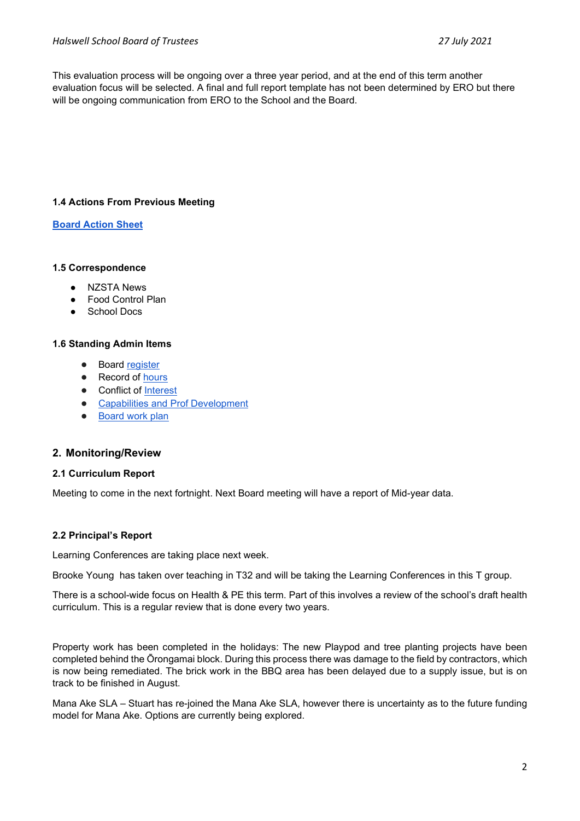This evaluation process will be ongoing over a three year period, and at the end of this term another evaluation focus will be selected. A final and full report template has not been determined by ERO but there will be ongoing communication from ERO to the School and the Board.

# 1.4 Actions From Previous Meeting

### Board Action Sheet

#### 1.5 Correspondence

- **NZSTA News**
- Food Control Plan
- **School Docs**

#### 1.6 Standing Admin Items

- **Board register**
- Record of hours
- Conflict of Interest
- Capabilities and Prof Development
- Board work plan

### 2. Monitoring/Review

#### 2.1 Curriculum Report

Meeting to come in the next fortnight. Next Board meeting will have a report of Mid-year data.

### 2.2 Principal's Report

Learning Conferences are taking place next week.

Brooke Young has taken over teaching in T32 and will be taking the Learning Conferences in this T group.

There is a school-wide focus on Health & PE this term. Part of this involves a review of the school's draft health curriculum. This is a regular review that is done every two years.

Property work has been completed in the holidays: The new Playpod and tree planting projects have been completed behind the Ōrongamai block. During this process there was damage to the field by contractors, which is now being remediated. The brick work in the BBQ area has been delayed due to a supply issue, but is on track to be finished in August.

Mana Ake SLA – Stuart has re-joined the Mana Ake SLA, however there is uncertainty as to the future funding model for Mana Ake. Options are currently being explored.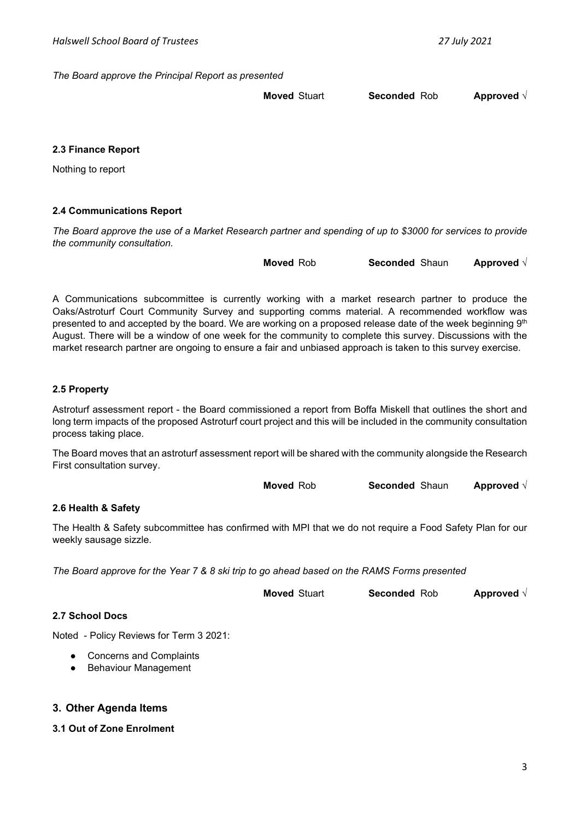The Board approve the Principal Report as presented

Moved Stuart Seconded Rob Approved √

### 2.3 Finance Report

Nothing to report

### 2.4 Communications Report

The Board approve the use of a Market Research partner and spending of up to \$3000 for services to provide the community consultation.

Moved Rob Seconded Shaun Approved √

A Communications subcommittee is currently working with a market research partner to produce the Oaks/Astroturf Court Community Survey and supporting comms material. A recommended workflow was presented to and accepted by the board. We are working on a proposed release date of the week beginning 9th August. There will be a window of one week for the community to complete this survey. Discussions with the market research partner are ongoing to ensure a fair and unbiased approach is taken to this survey exercise.

#### 2.5 Property

Astroturf assessment report - the Board commissioned a report from Boffa Miskell that outlines the short and long term impacts of the proposed Astroturf court project and this will be included in the community consultation process taking place.

The Board moves that an astroturf assessment report will be shared with the community alongside the Research First consultation survey.

| <b>Moved</b> Rob | <b>Seconded Shaun</b> | Approved $\sqrt{ }$ |
|------------------|-----------------------|---------------------|
|------------------|-----------------------|---------------------|

### 2.6 Health & Safety

The Health & Safety subcommittee has confirmed with MPI that we do not require a Food Safety Plan for our weekly sausage sizzle.

The Board approve for the Year 7 & 8 ski trip to go ahead based on the RAMS Forms presented

| <b>Moved Stuart</b> | <b>Seconded Rob</b> | Approved $\sqrt{}$ |
|---------------------|---------------------|--------------------|
|---------------------|---------------------|--------------------|

#### 2.7 School Docs

Noted - Policy Reviews for Term 3 2021:

- Concerns and Complaints
- Behaviour Management

## 3. Other Agenda Items

### 3.1 Out of Zone Enrolment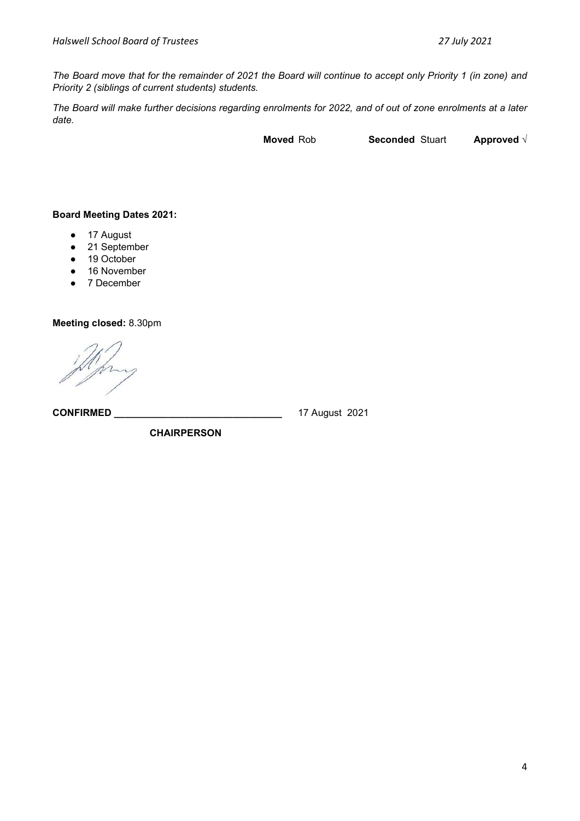The Board move that for the remainder of 2021 the Board will continue to accept only Priority 1 (in zone) and Priority 2 (siblings of current students) students.

The Board will make further decisions regarding enrolments for 2022, and of out of zone enrolments at a later date.

Moved Rob Seconded Stuart Approved √

# Board Meeting Dates 2021:

- 17 August
- 21 September
- 19 October
- 16 November
- 7 December

Meeting closed: 8.30pm

CONFIRMED \_\_\_\_\_\_\_\_\_\_\_\_\_\_\_\_\_\_\_\_\_\_\_\_\_\_\_\_\_\_\_ 17 August 2021

**CHAIRPERSON**